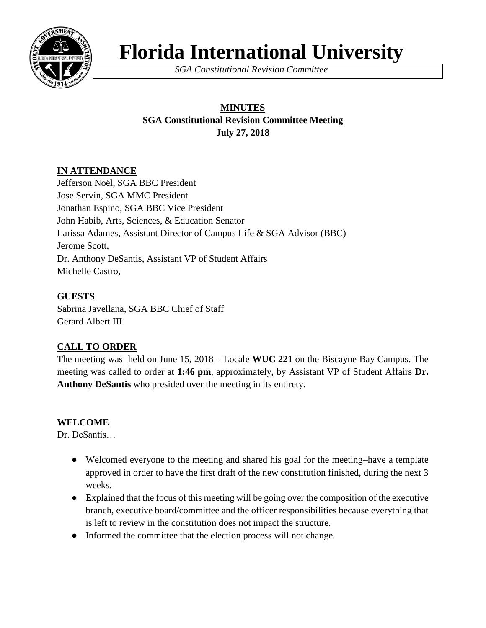

# **Florida International University**

*SGA Constitutional Revision Committee*

## **MINUTES SGA Constitutional Revision Committee Meeting July 27, 2018**

### **IN ATTENDANCE**

Jefferson Noël, SGA BBC President Jose Servin, SGA MMC President Jonathan Espino, SGA BBC Vice President John Habib, Arts, Sciences, & Education Senator Larissa Adames, Assistant Director of Campus Life & SGA Advisor (BBC) Jerome Scott, Dr. Anthony DeSantis, Assistant VP of Student Affairs Michelle Castro,

#### **GUESTS**

Sabrina Javellana, SGA BBC Chief of Staff Gerard Albert III

## **CALL TO ORDER**

The meeting was held on June 15, 2018 – Locale **WUC 221** on the Biscayne Bay Campus. The meeting was called to order at **1:46 pm**, approximately, by Assistant VP of Student Affairs **Dr. Anthony DeSantis** who presided over the meeting in its entirety.

## **WELCOME**

Dr. DeSantis…

- Welcomed everyone to the meeting and shared his goal for the meeting–have a template approved in order to have the first draft of the new constitution finished, during the next 3 weeks.
- Explained that the focus of this meeting will be going over the composition of the executive branch, executive board/committee and the officer responsibilities because everything that is left to review in the constitution does not impact the structure.
- Informed the committee that the election process will not change.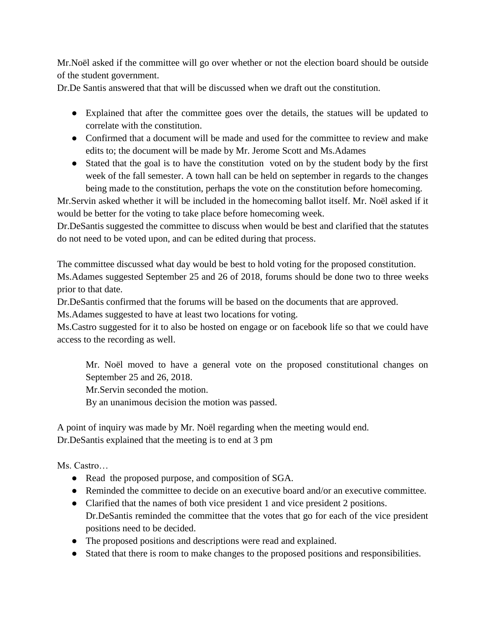Mr.Noël asked if the committee will go over whether or not the election board should be outside of the student government.

Dr.De Santis answered that that will be discussed when we draft out the constitution.

- Explained that after the committee goes over the details, the statues will be updated to correlate with the constitution.
- Confirmed that a document will be made and used for the committee to review and make edits to; the document will be made by Mr. Jerome Scott and Ms.Adames
- Stated that the goal is to have the constitution voted on by the student body by the first week of the fall semester. A town hall can be held on september in regards to the changes being made to the constitution, perhaps the vote on the constitution before homecoming.

Mr.Servin asked whether it will be included in the homecoming ballot itself. Mr. Noël asked if it would be better for the voting to take place before homecoming week.

Dr.DeSantis suggested the committee to discuss when would be best and clarified that the statutes do not need to be voted upon, and can be edited during that process.

The committee discussed what day would be best to hold voting for the proposed constitution. Ms.Adames suggested September 25 and 26 of 2018, forums should be done two to three weeks prior to that date.

Dr.DeSantis confirmed that the forums will be based on the documents that are approved.

Ms.Adames suggested to have at least two locations for voting.

Ms.Castro suggested for it to also be hosted on engage or on facebook life so that we could have access to the recording as well.

Mr. Noël moved to have a general vote on the proposed constitutional changes on September 25 and 26, 2018.

Mr.Servin seconded the motion.

By an unanimous decision the motion was passed.

A point of inquiry was made by Mr. Noël regarding when the meeting would end. Dr.DeSantis explained that the meeting is to end at 3 pm

Ms. Castro…

- Read the proposed purpose, and composition of SGA.
- Reminded the committee to decide on an executive board and/or an executive committee.
- Clarified that the names of both vice president 1 and vice president 2 positions. Dr.DeSantis reminded the committee that the votes that go for each of the vice president positions need to be decided.
- The proposed positions and descriptions were read and explained.
- Stated that there is room to make changes to the proposed positions and responsibilities.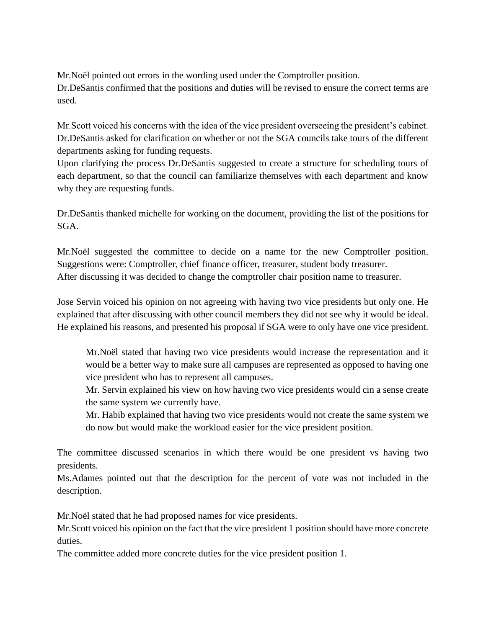Mr.Noël pointed out errors in the wording used under the Comptroller position.

Dr.DeSantis confirmed that the positions and duties will be revised to ensure the correct terms are used.

Mr.Scott voiced his concerns with the idea of the vice president overseeing the president's cabinet. Dr.DeSantis asked for clarification on whether or not the SGA councils take tours of the different departments asking for funding requests.

Upon clarifying the process Dr.DeSantis suggested to create a structure for scheduling tours of each department, so that the council can familiarize themselves with each department and know why they are requesting funds.

Dr.DeSantis thanked michelle for working on the document, providing the list of the positions for SGA.

Mr.Noël suggested the committee to decide on a name for the new Comptroller position. Suggestions were: Comptroller, chief finance officer, treasurer, student body treasurer. After discussing it was decided to change the comptroller chair position name to treasurer.

Jose Servin voiced his opinion on not agreeing with having two vice presidents but only one. He explained that after discussing with other council members they did not see why it would be ideal. He explained his reasons, and presented his proposal if SGA were to only have one vice president.

Mr.Noël stated that having two vice presidents would increase the representation and it would be a better way to make sure all campuses are represented as opposed to having one vice president who has to represent all campuses.

Mr. Servin explained his view on how having two vice presidents would cin a sense create the same system we currently have.

Mr. Habib explained that having two vice presidents would not create the same system we do now but would make the workload easier for the vice president position.

The committee discussed scenarios in which there would be one president vs having two presidents.

Ms.Adames pointed out that the description for the percent of vote was not included in the description.

Mr.Noël stated that he had proposed names for vice presidents.

Mr.Scott voiced his opinion on the fact that the vice president 1 position should have more concrete duties.

The committee added more concrete duties for the vice president position 1.